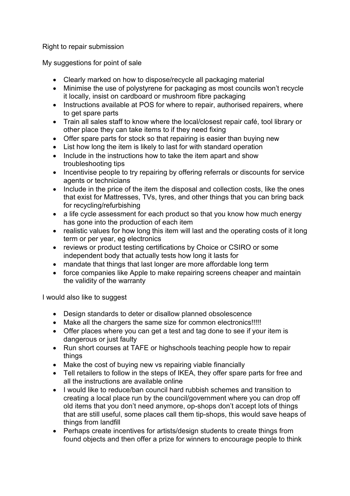Right to repair submission

My suggestions for point of sale

- Clearly marked on how to dispose/recycle all packaging material
- Minimise the use of polystyrene for packaging as most councils won't recycle it locally, insist on cardboard or mushroom fibre packaging
- Instructions available at POS for where to repair, authorised repairers, where to get spare parts
- Train all sales staff to know where the local/closest repair café, tool library or other place they can take items to if they need fixing
- Offer spare parts for stock so that repairing is easier than buying new
- List how long the item is likely to last for with standard operation
- Include in the instructions how to take the item apart and show troubleshooting tips
- Incentivise people to try repairing by offering referrals or discounts for service agents or technicians
- Include in the price of the item the disposal and collection costs, like the ones that exist for Mattresses, TVs, tyres, and other things that you can bring back for recycling/refurbishing
- a life cycle assessment for each product so that you know how much energy has gone into the production of each item
- realistic values for how long this item will last and the operating costs of it long term or per year, eg electronics
- reviews or product testing certifications by Choice or CSIRO or some independent body that actually tests how long it lasts for
- mandate that things that last longer are more affordable long term
- force companies like Apple to make repairing screens cheaper and maintain the validity of the warranty

I would also like to suggest

- Design standards to deter or disallow planned obsolescence
- Make all the chargers the same size for common electronics!!!!!
- Offer places where you can get a test and tag done to see if your item is dangerous or just faulty
- Run short courses at TAFE or highschools teaching people how to repair things
- Make the cost of buying new vs repairing viable financially
- Tell retailers to follow in the steps of IKEA, they offer spare parts for free and all the instructions are available online
- I would like to reduce/ban council hard rubbish schemes and transition to creating a local place run by the council/government where you can drop off old items that you don't need anymore, op-shops don't accept lots of things that are still useful, some places call them tip-shops, this would save heaps of things from landfill
- Perhaps create incentives for artists/design students to create things from found objects and then offer a prize for winners to encourage people to think